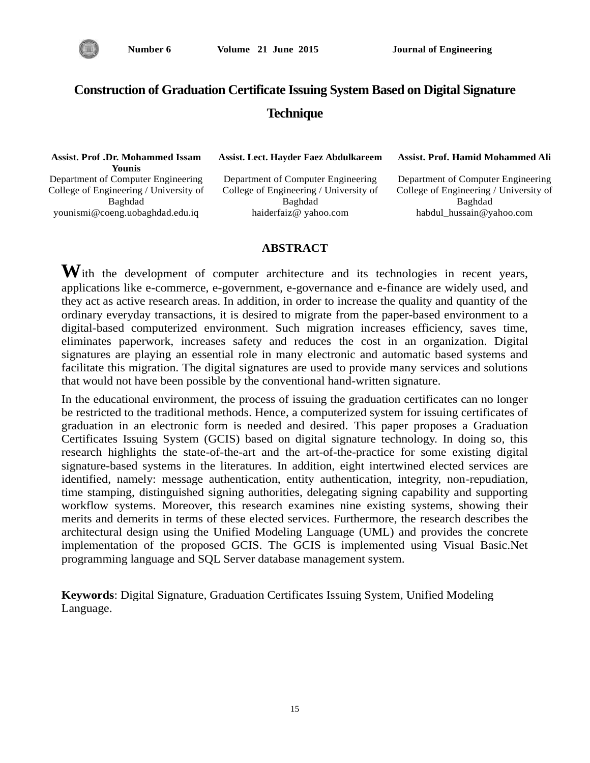

# **Construction of Graduation Certificate Issuing System Based on Digital Signature Technique**

| <b>Assist. Prof .Dr. Mohammed Issam</b><br>Younis | Assist. Lect. Hayder Faez Abdulkareem  | Assist. Prof. Hamid Mohammed Ali       |
|---------------------------------------------------|----------------------------------------|----------------------------------------|
| Department of Computer Engineering                | Department of Computer Engineering     | Department of Computer Engineering     |
| College of Engineering / University of            | College of Engineering / University of | College of Engineering / University of |
| Baghdad                                           | Baghdad                                | Baghdad                                |
| younismi@coeng.uobaghdad.edu.iq                   | haiderfaiz@ yahoo.com                  | habdul hussain@yahoo.com               |

#### **ABSTRACT**

With the development of computer architecture and its technologies in recent years, applications like e-commerce, e-government, e-governance and e-finance are widely used, and they act as active research areas. In addition, in order to increase the quality and quantity of the ordinary everyday transactions, it is desired to migrate from the paper-based environment to a digital-based computerized environment. Such migration increases efficiency, saves time, eliminates paperwork, increases safety and reduces the cost in an organization. Digital signatures are playing an essential role in many electronic and automatic based systems and facilitate this migration. The digital signatures are used to provide many services and solutions that would not have been possible by the conventional hand-written signature.

In the educational environment, the process of issuing the graduation certificates can no longer be restricted to the traditional methods. Hence, a computerized system for issuing certificates of graduation in an electronic form is needed and desired. This paper proposes a Graduation Certificates Issuing System (GCIS) based on digital signature technology. In doing so, this research highlights the state-of-the-art and the art-of-the-practice for some existing digital signature-based systems in the literatures. In addition, eight intertwined elected services are identified, namely: message authentication, entity authentication, integrity, non-repudiation, time stamping, distinguished signing authorities, delegating signing capability and supporting workflow systems. Moreover, this research examines nine existing systems, showing their merits and demerits in terms of these elected services. Furthermore, the research describes the architectural design using the Unified Modeling Language (UML) and provides the concrete implementation of the proposed GCIS. The GCIS is implemented using Visual Basic.Net programming language and SQL Server database management system.

**Keywords**: Digital Signature, Graduation Certificates Issuing System, Unified Modeling Language.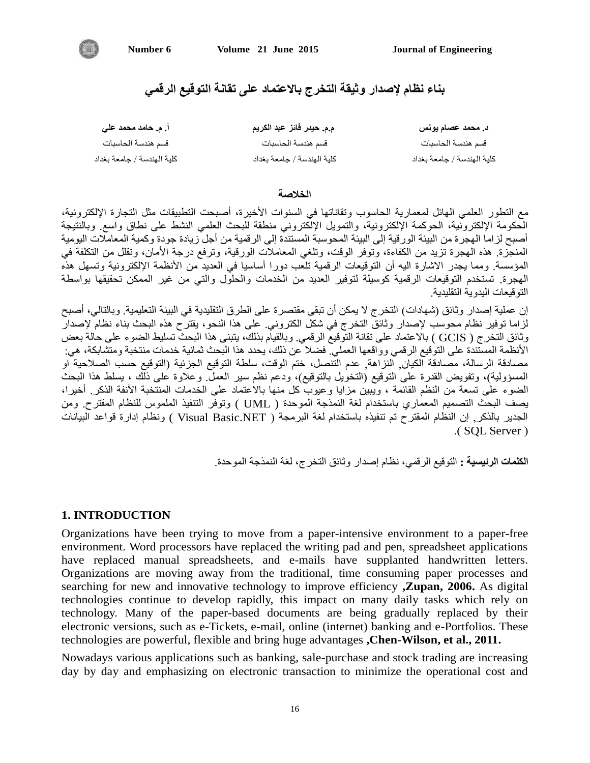

**بناء نظام إلصذار وثيقة التخرج باالعتواد على تقانة التوقيع الرقوي**

| اً. م. حامد محمد علي       | م,م. حيدر فائز عبد الكريم  | د. محمد عصام یونس          |
|----------------------------|----------------------------|----------------------------|
| قسم هندسة الحاسبات         | قسم هندسة الحاسبات         | قسم هندسة الحاسبات         |
| كلية الهندسة / جامعة بغداد | كلية الهندسة / جامعة بغداد | كلية الهندسة / جامعة بغداد |

#### **الخالصة**

مع النطور العلمي الهائل لمعمارية الحاسوب ونقاناتها في السنوات الأخيرة، أصبحت النطبيقات مثل النجارة الإلكترونية، الحكومة الإلكترونية، الحوكمة الإلكترونية، والتمويل الإلكتروني منطقة للبحث العلمي النشط على نطاق واسع ٍ وبالنتيجة أصبح لزاما الهجرة من البيئة الورقية إلى البيئة المحوسبة المستندّة إلى الرقمية من أجل زيادة جودة وكمية المعاملات اليومية المنجزة. هذه المهجرة تزيد من الكفاءة، وتوفر الوقت، وتلغي المعاملات الورقية، وترفع درجة الأمان، وتقلل من التكلفة في المؤسسة. ومما يجدر الاشارة اليه أن التوقيعات الرقمية تلعب دورا أساسيا في العديد من الأنظمة الإلكترونية وتسهل هذه المهجّرة. تستخدم التوقيعات الرقمية كوسيلة لتوفير العديد من الخدمات والحلّول والتي من غير الممكن تحقيقها بواسطة النّو قبعات البدو بـة النقلبدبـة

إن عملية إصدار وثائق (شهادات) النخرج لا يمكن أن تبقى مقتصرة على الطرق النقليدية في البيئة التعليمية. وبالتالي، أصبح لزاما توفير نظام محوسب لإصدار وثائق التخرج في شكل الكتروني. على هذا النحو، يقترح هذه البحث بناء نظام لإصدار وثائق النخرج ( GCIS ) بالاعتماد على نقانة التوقيع الرقمي. وبالقيام بذلك، يتبنى هذا البحث تسليط الضوء على حالة بعض الأنظمة المستندة على التوقيع الرقمي وواقعها العمليّ فضلا عن ذلك، يحدد هذا البحث ثمانية خدمات منتخبة ومتشابكة، هي: مصادقة الرسالة، مصادقة الكيان, النزاهة, عدم التنصل، ختم الوقت، سلطة التوقيع الجزئية (التوقيع حسب الصلاحية او المسؤولية)، ونفويض القدرة على النوقيع (النخويل بالنوفيع)، ودعم نظم سير العمل وعلاوة على ذلك ، بسلط هذا البحث الضوء على نسعة من النظم القائمة ، ويبين مزايا وعيوب كل منها بالاعتماد على الخدمات المنتخبة الأنفة الذكر أخيرا، يصف البحث النصميم المعماري باستخدام لغة النمذجة الموحدة ( UML ) ونوفر النُّنفيذ الملموس للنظام المُقترح. ومن الجدير بالذكر, إن النظام المقترح تم تنفيذه باستخدام لغة البرمجة ( Visual Basic.NET ) ونظام إدارة قواعد البيانات .( SOL Server )

ا**لكلمات الرئيسية :** التوقيع الرق*مي*، نظام إصدار وثائق التخرج، لغة النمذجة الموحدة.

# **1. INTRODUCTION**

Organizations have been trying to move from a paper-intensive environment to a paper-free environment. Word processors have replaced the writing pad and pen, spreadsheet applications have replaced manual spreadsheets, and e-mails have supplanted handwritten letters. Organizations are moving away from the traditional, time consuming paper processes and searching for new and innovative technology to improve efficiency **,Zupan, 2006.** As digital technologies continue to develop rapidly, this impact on many daily tasks which rely on technology. Many of the paper-based documents are being gradually replaced by their electronic versions, such as e-Tickets, e-mail, online (internet) banking and e-Portfolios. These technologies are powerful, flexible and bring huge advantages **,Chen-Wilson, et al., 2011.**

Nowadays various applications such as banking, sale-purchase and stock trading are increasing day by day and emphasizing on electronic transaction to minimize the operational cost and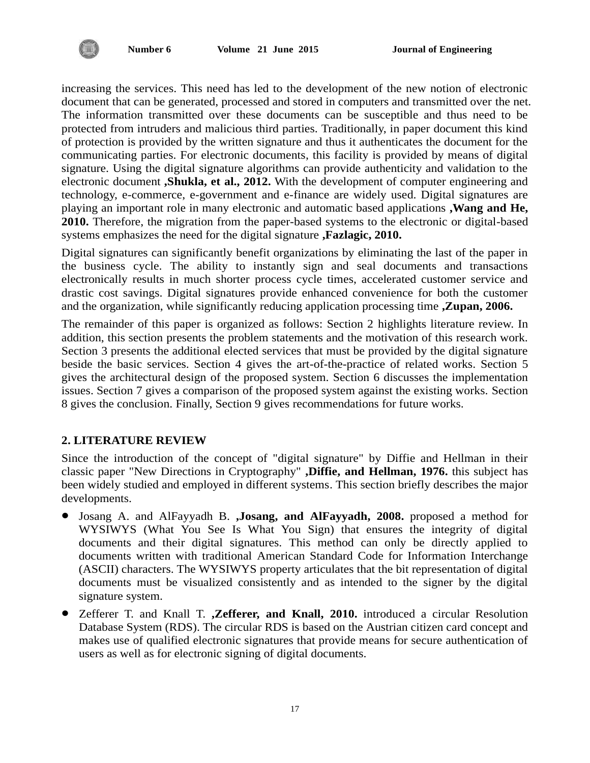

increasing the services. This need has led to the development of the new notion of electronic document that can be generated, processed and stored in computers and transmitted over the net. The information transmitted over these documents can be susceptible and thus need to be protected from intruders and malicious third parties. Traditionally, in paper document this kind of protection is provided by the written signature and thus it authenticates the document for the communicating parties. For electronic documents, this facility is provided by means of digital signature. Using the digital signature algorithms can provide authenticity and validation to the electronic document **,Shukla, et al., 2012.** With the development of computer engineering and technology, e-commerce, e-government and e-finance are widely used. Digital signatures are playing an important role in many electronic and automatic based applications **,Wang and He, 2010.** Therefore, the migration from the paper-based systems to the electronic or digital-based systems emphasizes the need for the digital signature **,Fazlagic, 2010.**

Digital signatures can significantly benefit organizations by eliminating the last of the paper in the business cycle. The ability to instantly sign and seal documents and transactions electronically results in much shorter process cycle times, accelerated customer service and drastic cost savings. Digital signatures provide enhanced convenience for both the customer and the organization, while significantly reducing application processing time **,Zupan, 2006.**

The remainder of this paper is organized as follows: Section 2 highlights literature review. In addition, this section presents the problem statements and the motivation of this research work. Section 3 presents the additional elected services that must be provided by the digital signature beside the basic services. Section 4 gives the art-of-the-practice of related works. Section 5 gives the architectural design of the proposed system. Section 6 discusses the implementation issues. Section 7 gives a comparison of the proposed system against the existing works. Section 8 gives the conclusion. Finally, Section 9 gives recommendations for future works.

# **2. LITERATURE REVIEW**

Since the introduction of the concept of "digital signature" by Diffie and Hellman in their classic paper "New Directions in Cryptography" **,Diffie, and Hellman, 1976.** this subject has been widely studied and employed in different systems. This section briefly describes the major developments.

- Josang A. and AlFayyadh B. **,Josang, and AlFayyadh, 2008.** proposed a method for WYSIWYS (What You See Is What You Sign) that ensures the integrity of digital documents and their digital signatures. This method can only be directly applied to documents written with traditional American Standard Code for Information Interchange (ASCII) characters. The WYSIWYS property articulates that the bit representation of digital documents must be visualized consistently and as intended to the signer by the digital signature system.
- Zefferer T. and Knall T. **,Zefferer, and Knall, 2010.** introduced a circular Resolution Database System (RDS). The circular RDS is based on the Austrian citizen card concept and makes use of qualified electronic signatures that provide means for secure authentication of users as well as for electronic signing of digital documents.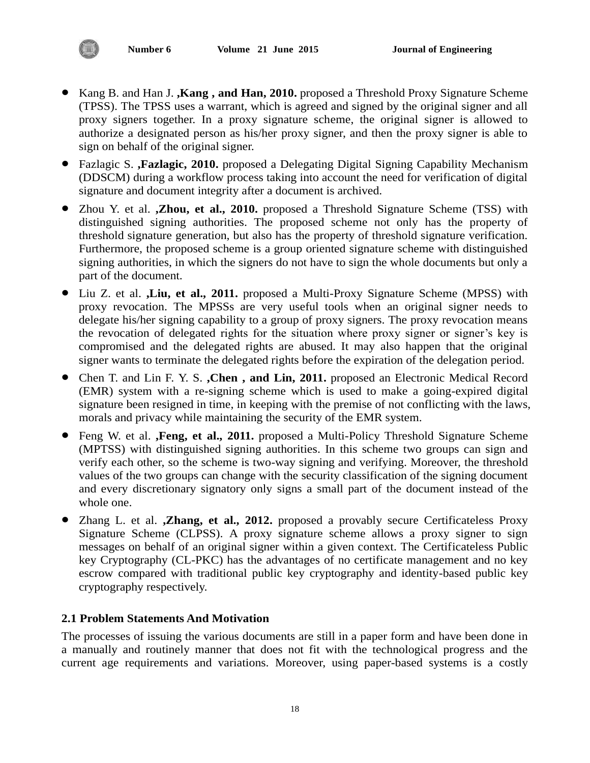- Kang B. and Han J. **,Kang , and Han, 2010.** proposed a Threshold Proxy Signature Scheme (TPSS). The TPSS uses a warrant, which is agreed and signed by the original signer and all proxy signers together. In a proxy signature scheme, the original signer is allowed to authorize a designated person as his/her proxy signer, and then the proxy signer is able to sign on behalf of the original signer.
- Fazlagic S. **,Fazlagic, 2010.** proposed a Delegating Digital Signing Capability Mechanism (DDSCM) during a workflow process taking into account the need for verification of digital signature and document integrity after a document is archived.
- Zhou Y. et al. **,Zhou, et al., 2010.** proposed a Threshold Signature Scheme (TSS) with distinguished signing authorities. The proposed scheme not only has the property of threshold signature generation, but also has the property of threshold signature verification. Furthermore, the proposed scheme is a group oriented signature scheme with distinguished signing authorities, in which the signers do not have to sign the whole documents but only a part of the document.
- Liu Z. et al. **,Liu, et al., 2011.** proposed a Multi-Proxy Signature Scheme (MPSS) with proxy revocation. The MPSSs are very useful tools when an original signer needs to delegate his/her signing capability to a group of proxy signers. The proxy revocation means the revocation of delegated rights for the situation where proxy signer or signer's key is compromised and the delegated rights are abused. It may also happen that the original signer wants to terminate the delegated rights before the expiration of the delegation period.
- Chen T. and Lin F. Y. S. **,Chen , and Lin, 2011.** proposed an Electronic Medical Record (EMR) system with a re-signing scheme which is used to make a going-expired digital signature been resigned in time, in keeping with the premise of not conflicting with the laws, morals and privacy while maintaining the security of the EMR system.
- Feng W. et al. **,Feng, et al., 2011.** proposed a Multi-Policy Threshold Signature Scheme (MPTSS) with distinguished signing authorities. In this scheme two groups can sign and verify each other, so the scheme is two-way signing and verifying. Moreover, the threshold values of the two groups can change with the security classification of the signing document and every discretionary signatory only signs a small part of the document instead of the whole one.
- Zhang L. et al. **,Zhang, et al., 2012.** proposed a provably secure Certificateless Proxy Signature Scheme (CLPSS). A proxy signature scheme allows a proxy signer to sign messages on behalf of an original signer within a given context. The Certificateless Public key Cryptography (CL-PKC) has the advantages of no certificate management and no key escrow compared with traditional public key cryptography and identity-based public key cryptography respectively.

# **2.1 Problem Statements And Motivation**

The processes of issuing the various documents are still in a paper form and have been done in a manually and routinely manner that does not fit with the technological progress and the current age requirements and variations. Moreover, using paper-based systems is a costly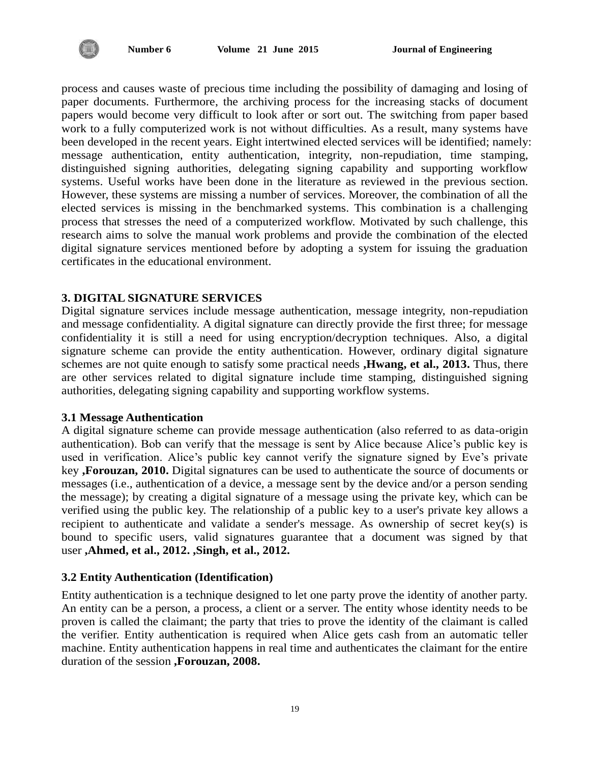

process and causes waste of precious time including the possibility of damaging and losing of paper documents. Furthermore, the archiving process for the increasing stacks of document papers would become very difficult to look after or sort out. The switching from paper based work to a fully computerized work is not without difficulties. As a result, many systems have been developed in the recent years. Eight intertwined elected services will be identified; namely: message authentication, entity authentication, integrity, non-repudiation, time stamping, distinguished signing authorities, delegating signing capability and supporting workflow systems. Useful works have been done in the literature as reviewed in the previous section. However, these systems are missing a number of services. Moreover, the combination of all the elected services is missing in the benchmarked systems. This combination is a challenging process that stresses the need of a computerized workflow. Motivated by such challenge, this research aims to solve the manual work problems and provide the combination of the elected digital signature services mentioned before by adopting a system for issuing the graduation certificates in the educational environment.

# **3. DIGITAL SIGNATURE SERVICES**

Digital signature services include message authentication, message integrity, non-repudiation and message confidentiality. A digital signature can directly provide the first three; for message confidentiality it is still a need for using encryption/decryption techniques. Also, a digital signature scheme can provide the entity authentication. However, ordinary digital signature schemes are not quite enough to satisfy some practical needs **,Hwang, et al., 2013.** Thus, there are other services related to digital signature include time stamping, distinguished signing authorities, delegating signing capability and supporting workflow systems.

#### **3.1 Message Authentication**

A digital signature scheme can provide message authentication (also referred to as data-origin authentication). Bob can verify that the message is sent by Alice because Alice's public key is used in verification. Alice's public key cannot verify the signature signed by Eve's private key **,Forouzan, 2010.** Digital signatures can be used to authenticate the source of documents or messages (i.e., authentication of a device, a message sent by the device and/or a person sending the message); by creating a digital signature of a message using the private key, which can be verified using the public key. The relationship of a public key to a user's private key allows a recipient to authenticate and validate a sender's message. As ownership of secret key(s) is bound to specific users, valid signatures guarantee that a document was signed by that user **,Ahmed, et al., 2012. ,Singh, et al., 2012.**

#### **3.2 Entity Authentication (Identification)**

Entity authentication is a technique designed to let one party prove the identity of another party. An entity can be a person, a process, a client or a server. The entity whose identity needs to be proven is called the claimant; the party that tries to prove the identity of the claimant is called the verifier. Entity authentication is required when Alice gets cash from an automatic teller machine. Entity authentication happens in real time and authenticates the claimant for the entire duration of the session **,Forouzan, 2008.**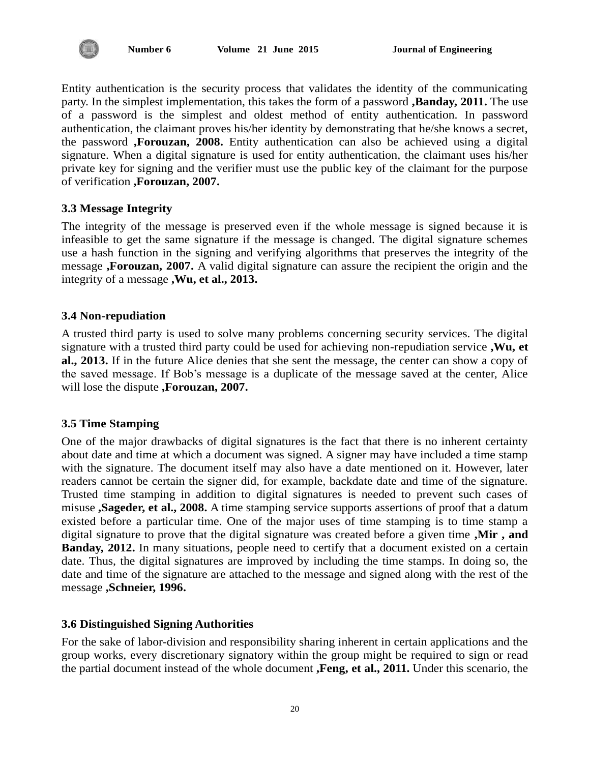

Entity authentication is the security process that validates the identity of the communicating party. In the simplest implementation, this takes the form of a password **,Banday, 2011.** The use of a password is the simplest and oldest method of entity authentication. In password authentication, the claimant proves his/her identity by demonstrating that he/she knows a secret, the password **,Forouzan, 2008.** Entity authentication can also be achieved using a digital signature. When a digital signature is used for entity authentication, the claimant uses his/her private key for signing and the verifier must use the public key of the claimant for the purpose of verification **,Forouzan, 2007.**

# **3.3 Message Integrity**

The integrity of the message is preserved even if the whole message is signed because it is infeasible to get the same signature if the message is changed. The digital signature schemes use a hash function in the signing and verifying algorithms that preserves the integrity of the message **,Forouzan, 2007.** A valid digital signature can assure the recipient the origin and the integrity of a message **,Wu, et al., 2013.**

#### **3.4 Non-repudiation**

A trusted third party is used to solve many problems concerning security services. The digital signature with a trusted third party could be used for achieving non-repudiation service **,Wu, et al., 2013.** If in the future Alice denies that she sent the message, the center can show a copy of the saved message. If Bob's message is a duplicate of the message saved at the center, Alice will lose the dispute **,Forouzan, 2007.**

# **3.5 Time Stamping**

One of the major drawbacks of digital signatures is the fact that there is no inherent certainty about date and time at which a document was signed. A signer may have included a time stamp with the signature. The document itself may also have a date mentioned on it. However, later readers cannot be certain the signer did, for example, backdate date and time of the signature. Trusted time stamping in addition to digital signatures is needed to prevent such cases of misuse **,Sageder, et al., 2008.** A time stamping service supports assertions of proof that a datum existed before a particular time. One of the major uses of time stamping is to time stamp a digital signature to prove that the digital signature was created before a given time **,Mir , and Banday, 2012.** In many situations, people need to certify that a document existed on a certain date. Thus, the digital signatures are improved by including the time stamps. In doing so, the date and time of the signature are attached to the message and signed along with the rest of the message **,Schneier, 1996.**

#### **3.6 Distinguished Signing Authorities**

For the sake of labor-division and responsibility sharing inherent in certain applications and the group works, every discretionary signatory within the group might be required to sign or read the partial document instead of the whole document **,Feng, et al., 2011.** Under this scenario, the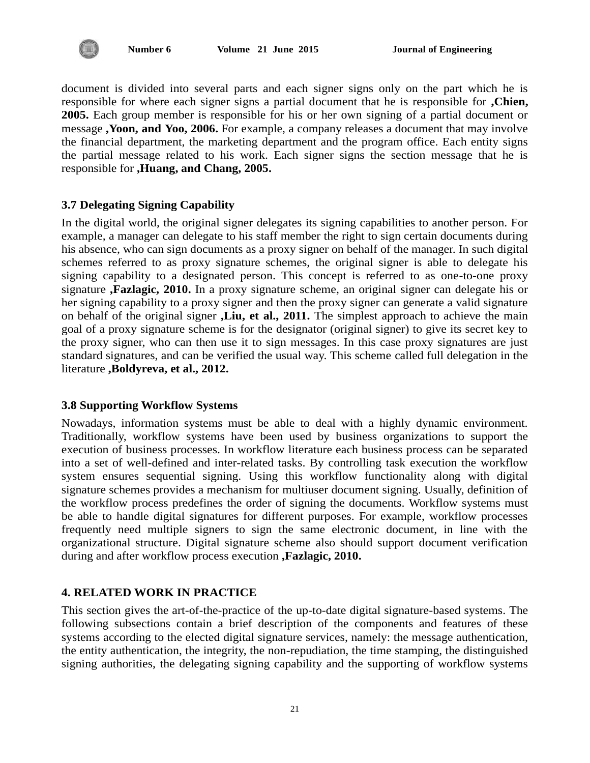

document is divided into several parts and each signer signs only on the part which he is responsible for where each signer signs a partial document that he is responsible for **,Chien, 2005.** Each group member is responsible for his or her own signing of a partial document or message **,Yoon, and Yoo, 2006.** For example, a company releases a document that may involve the financial department, the marketing department and the program office. Each entity signs the partial message related to his work. Each signer signs the section message that he is responsible for **,Huang, and Chang, 2005.**

# **3.7 Delegating Signing Capability**

In the digital world, the original signer delegates its signing capabilities to another person. For example, a manager can delegate to his staff member the right to sign certain documents during his absence, who can sign documents as a proxy signer on behalf of the manager. In such digital schemes referred to as proxy signature schemes, the original signer is able to delegate his signing capability to a designated person. This concept is referred to as one-to-one proxy signature **,Fazlagic, 2010.** In a proxy signature scheme, an original signer can delegate his or her signing capability to a proxy signer and then the proxy signer can generate a valid signature on behalf of the original signer **,Liu, et al., 2011.** The simplest approach to achieve the main goal of a proxy signature scheme is for the designator (original signer) to give its secret key to the proxy signer, who can then use it to sign messages. In this case proxy signatures are just standard signatures, and can be verified the usual way. This scheme called full delegation in the literature **,Boldyreva, et al., 2012.**

# **3.8 Supporting Workflow Systems**

Nowadays, information systems must be able to deal with a highly dynamic environment. Traditionally, workflow systems have been used by business organizations to support the execution of business processes. In workflow literature each business process can be separated into a set of well-defined and inter-related tasks. By controlling task execution the workflow system ensures sequential signing. Using this workflow functionality along with digital signature schemes provides a mechanism for multiuser document signing. Usually, definition of the workflow process predefines the order of signing the documents. Workflow systems must be able to handle digital signatures for different purposes. For example, workflow processes frequently need multiple signers to sign the same electronic document, in line with the organizational structure. Digital signature scheme also should support document verification during and after workflow process execution **,Fazlagic, 2010.**

# **4. RELATED WORK IN PRACTICE**

This section gives the art-of-the-practice of the up-to-date digital signature-based systems. The following subsections contain a brief description of the components and features of these systems according to the elected digital signature services, namely: the message authentication, the entity authentication, the integrity, the non-repudiation, the time stamping, the distinguished signing authorities, the delegating signing capability and the supporting of workflow systems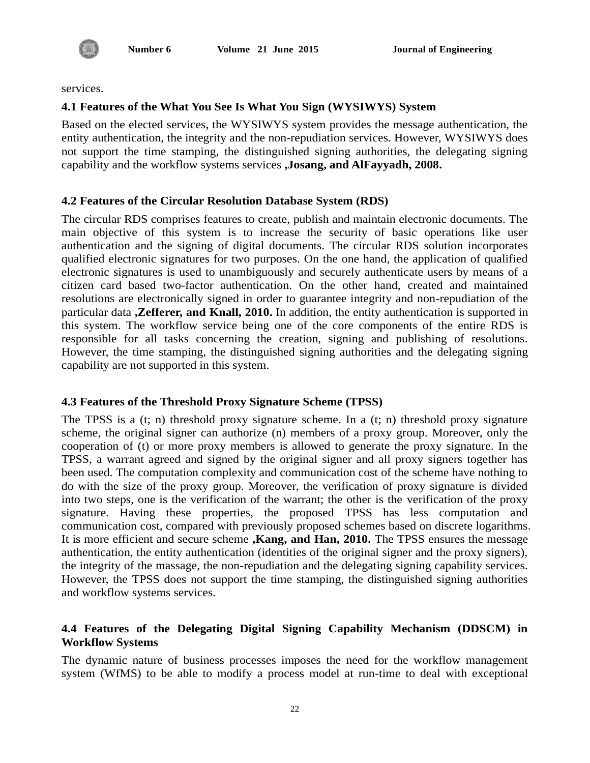

services.

# **4.1 Features of the What You See Is What You Sign (WYSIWYS) System**

Based on the elected services, the WYSIWYS system provides the message authentication, the entity authentication, the integrity and the non-repudiation services. However, WYSIWYS does not support the time stamping, the distinguished signing authorities, the delegating signing capability and the workflow systems services **,Josang, and AlFayyadh, 2008.**

#### **4.2 Features of the Circular Resolution Database System (RDS)**

The circular RDS comprises features to create, publish and maintain electronic documents. The main objective of this system is to increase the security of basic operations like user authentication and the signing of digital documents. The circular RDS solution incorporates qualified electronic signatures for two purposes. On the one hand, the application of qualified electronic signatures is used to unambiguously and securely authenticate users by means of a citizen card based two-factor authentication. On the other hand, created and maintained resolutions are electronically signed in order to guarantee integrity and non-repudiation of the particular data **,Zefferer, and Knall, 2010.** In addition, the entity authentication is supported in this system. The workflow service being one of the core components of the entire RDS is responsible for all tasks concerning the creation, signing and publishing of resolutions. However, the time stamping, the distinguished signing authorities and the delegating signing capability are not supported in this system.

# **4.3 Features of the Threshold Proxy Signature Scheme (TPSS)**

The TPSS is a (t; n) threshold proxy signature scheme. In a (t; n) threshold proxy signature scheme, the original signer can authorize (n) members of a proxy group. Moreover, only the cooperation of (t) or more proxy members is allowed to generate the proxy signature. In the TPSS, a warrant agreed and signed by the original signer and all proxy signers together has been used. The computation complexity and communication cost of the scheme have nothing to do with the size of the proxy group. Moreover, the verification of proxy signature is divided into two steps, one is the verification of the warrant; the other is the verification of the proxy signature. Having these properties, the proposed TPSS has less computation and communication cost, compared with previously proposed schemes based on discrete logarithms. It is more efficient and secure scheme **,Kang, and Han, 2010.** The TPSS ensures the message authentication, the entity authentication (identities of the original signer and the proxy signers), the integrity of the massage, the non-repudiation and the delegating signing capability services. However, the TPSS does not support the time stamping, the distinguished signing authorities and workflow systems services.

# **4.4 Features of the Delegating Digital Signing Capability Mechanism (DDSCM) in Workflow Systems**

The dynamic nature of business processes imposes the need for the workflow management system (WfMS) to be able to modify a process model at run-time to deal with exceptional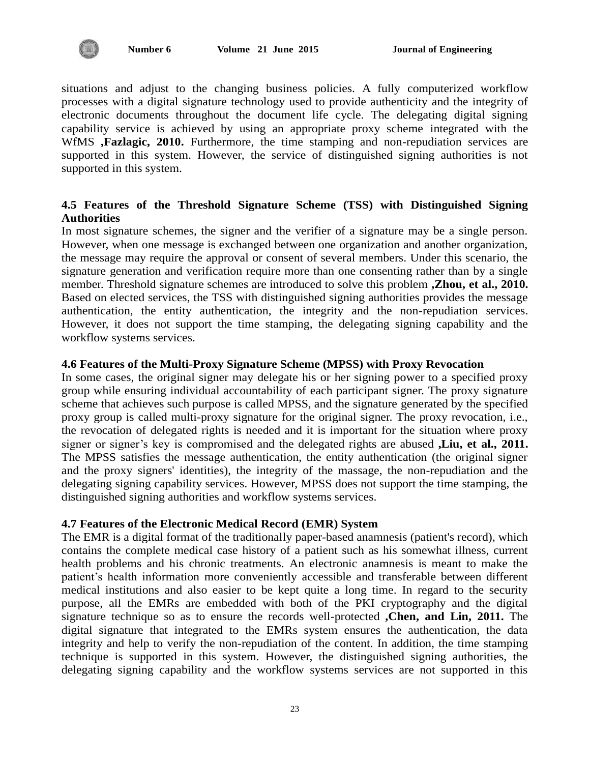situations and adjust to the changing business policies. A fully computerized workflow processes with a digital signature technology used to provide authenticity and the integrity of electronic documents throughout the document life cycle. The delegating digital signing capability service is achieved by using an appropriate proxy scheme integrated with the WfMS **,Fazlagic, 2010.** Furthermore, the time stamping and non-repudiation services are supported in this system. However, the service of distinguished signing authorities is not supported in this system.

# **4.5 Features of the Threshold Signature Scheme (TSS) with Distinguished Signing Authorities**

In most signature schemes, the signer and the verifier of a signature may be a single person. However, when one message is exchanged between one organization and another organization, the message may require the approval or consent of several members. Under this scenario, the signature generation and verification require more than one consenting rather than by a single member. Threshold signature schemes are introduced to solve this problem **,Zhou, et al., 2010.** Based on elected services, the TSS with distinguished signing authorities provides the message authentication, the entity authentication, the integrity and the non-repudiation services. However, it does not support the time stamping, the delegating signing capability and the workflow systems services.

# **4.6 Features of the Multi-Proxy Signature Scheme (MPSS) with Proxy Revocation**

In some cases, the original signer may delegate his or her signing power to a specified proxy group while ensuring individual accountability of each participant signer. The proxy signature scheme that achieves such purpose is called MPSS, and the signature generated by the specified proxy group is called multi-proxy signature for the original signer. The proxy revocation, i.e., the revocation of delegated rights is needed and it is important for the situation where proxy signer or signer's key is compromised and the delegated rights are abused **,Liu, et al., 2011.** The MPSS satisfies the message authentication, the entity authentication (the original signer and the proxy signers' identities), the integrity of the massage, the non-repudiation and the delegating signing capability services. However, MPSS does not support the time stamping, the distinguished signing authorities and workflow systems services.

# **4.7 Features of the Electronic Medical Record (EMR) System**

The EMR is a digital format of the traditionally paper-based anamnesis (patient's record), which contains the complete medical case history of a patient such as his somewhat illness, current health problems and his chronic treatments. An electronic anamnesis is meant to make the patient's health information more conveniently accessible and transferable between different medical institutions and also easier to be kept quite a long time. In regard to the security purpose, all the EMRs are embedded with both of the PKI cryptography and the digital signature technique so as to ensure the records well-protected **,Chen, and Lin, 2011.** The digital signature that integrated to the EMRs system ensures the authentication, the data integrity and help to verify the non-repudiation of the content. In addition, the time stamping technique is supported in this system. However, the distinguished signing authorities, the delegating signing capability and the workflow systems services are not supported in this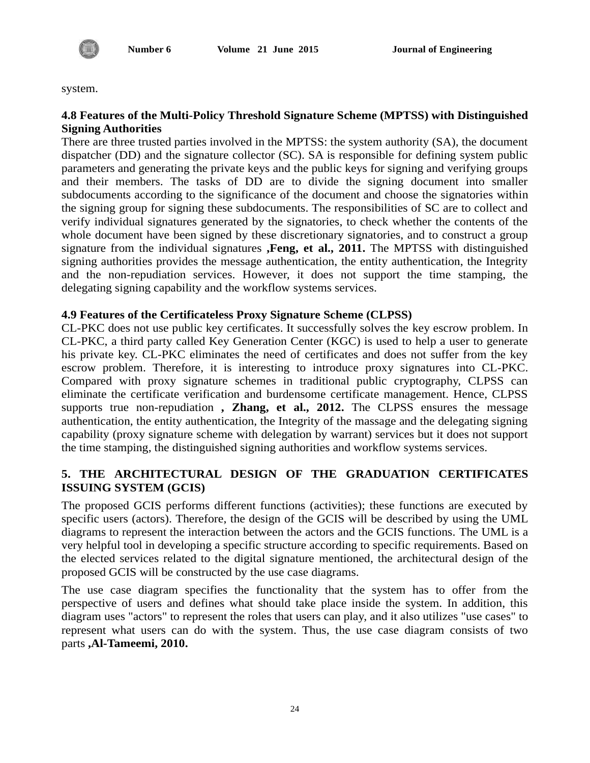

system.

# **4.8 Features of the Multi-Policy Threshold Signature Scheme (MPTSS) with Distinguished Signing Authorities**

There are three trusted parties involved in the MPTSS: the system authority (SA), the document dispatcher (DD) and the signature collector (SC). SA is responsible for defining system public parameters and generating the private keys and the public keys for signing and verifying groups and their members. The tasks of DD are to divide the signing document into smaller subdocuments according to the significance of the document and choose the signatories within the signing group for signing these subdocuments. The responsibilities of SC are to collect and verify individual signatures generated by the signatories, to check whether the contents of the whole document have been signed by these discretionary signatories, and to construct a group signature from the individual signatures **,Feng, et al., 2011.** The MPTSS with distinguished signing authorities provides the message authentication, the entity authentication, the Integrity and the non-repudiation services. However, it does not support the time stamping, the delegating signing capability and the workflow systems services.

# **4.9 Features of the Certificateless Proxy Signature Scheme (CLPSS)**

CL-PKC does not use public key certificates. It successfully solves the key escrow problem. In CL-PKC, a third party called Key Generation Center (KGC) is used to help a user to generate his private key. CL-PKC eliminates the need of certificates and does not suffer from the key escrow problem. Therefore, it is interesting to introduce proxy signatures into CL-PKC. Compared with proxy signature schemes in traditional public cryptography, CLPSS can eliminate the certificate verification and burdensome certificate management. Hence, CLPSS supports true non-repudiation **, Zhang, et al., 2012.** The CLPSS ensures the message authentication, the entity authentication, the Integrity of the massage and the delegating signing capability (proxy signature scheme with delegation by warrant) services but it does not support the time stamping, the distinguished signing authorities and workflow systems services.

# **5. THE ARCHITECTURAL DESIGN OF THE GRADUATION CERTIFICATES ISSUING SYSTEM (GCIS)**

The proposed GCIS performs different functions (activities); these functions are executed by specific users (actors). Therefore, the design of the GCIS will be described by using the UML diagrams to represent the interaction between the actors and the GCIS functions. The UML is a very helpful tool in developing a specific structure according to specific requirements. Based on the elected services related to the digital signature mentioned, the architectural design of the proposed GCIS will be constructed by the use case diagrams.

The use case diagram specifies the functionality that the system has to offer from the perspective of users and defines what should take place inside the system. In addition, this diagram uses "actors" to represent the roles that users can play, and it also utilizes "use cases" to represent what users can do with the system. Thus, the use case diagram consists of two parts **,Al-Tameemi, 2010.**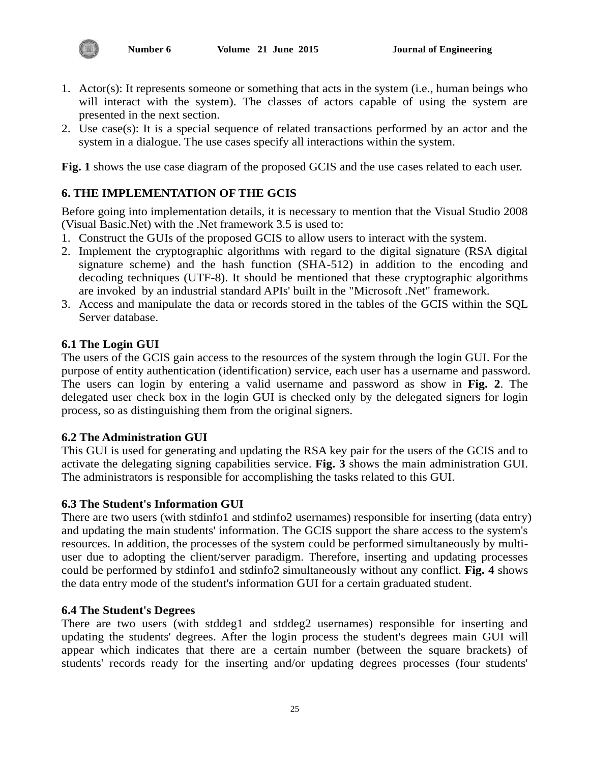

- 1. Actor(s): It represents someone or something that acts in the system (i.e., human beings who will interact with the system). The classes of actors capable of using the system are presented in the next section.
- 2. Use case(s): It is a special sequence of related transactions performed by an actor and the system in a dialogue. The use cases specify all interactions within the system.

**Fig. 1** shows the use case diagram of the proposed GCIS and the use cases related to each user.

# **6. THE IMPLEMENTATION OF THE GCIS**

Before going into implementation details, it is necessary to mention that the Visual Studio 2008 (Visual Basic.Net) with the .Net framework 3.5 is used to:

- 1. Construct the GUIs of the proposed GCIS to allow users to interact with the system.
- 2. Implement the cryptographic algorithms with regard to the digital signature (RSA digital signature scheme) and the hash function (SHA-512) in addition to the encoding and decoding techniques (UTF-8). It should be mentioned that these cryptographic algorithms are invoked by an industrial standard APIs' built in the "Microsoft .Net" framework.
- 3. Access and manipulate the data or records stored in the tables of the GCIS within the SQL Server database.

#### **6.1 The Login GUI**

The users of the GCIS gain access to the resources of the system through the login GUI. For the purpose of entity authentication (identification) service, each user has a username and password. The users can login by entering a valid username and password as show in **Fig. 2**. The delegated user check box in the login GUI is checked only by the delegated signers for login process, so as distinguishing them from the original signers.

#### **6.2 The Administration GUI**

This GUI is used for generating and updating the RSA key pair for the users of the GCIS and to activate the delegating signing capabilities service. **Fig. 3** shows the main administration GUI. The administrators is responsible for accomplishing the tasks related to this GUI.

#### **6.3 The Student's Information GUI**

There are two users (with stdinfo1 and stdinfo2 usernames) responsible for inserting (data entry) and updating the main students' information. The GCIS support the share access to the system's resources. In addition, the processes of the system could be performed simultaneously by multiuser due to adopting the client/server paradigm. Therefore, inserting and updating processes could be performed by stdinfo1 and stdinfo2 simultaneously without any conflict. **Fig. 4** shows the data entry mode of the student's information GUI for a certain graduated student.

#### **6.4 The Student's Degrees**

There are two users (with stddeg1 and stddeg2 usernames) responsible for inserting and updating the students' degrees. After the login process the student's degrees main GUI will appear which indicates that there are a certain number (between the square brackets) of students' records ready for the inserting and/or updating degrees processes (four students'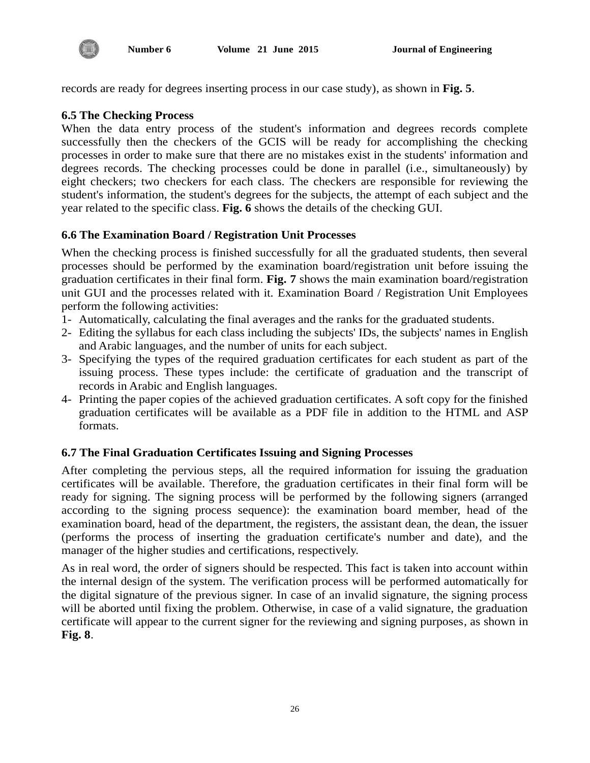records are ready for degrees inserting process in our case study), as shown in **Fig. 5**.

# **6.5 The Checking Process**

When the data entry process of the student's information and degrees records complete successfully then the checkers of the GCIS will be ready for accomplishing the checking processes in order to make sure that there are no mistakes exist in the students' information and degrees records. The checking processes could be done in parallel (i.e., simultaneously) by eight checkers; two checkers for each class. The checkers are responsible for reviewing the student's information, the student's degrees for the subjects, the attempt of each subject and the year related to the specific class. **Fig. 6** shows the details of the checking GUI.

# **6.6 The Examination Board / Registration Unit Processes**

When the checking process is finished successfully for all the graduated students, then several processes should be performed by the examination board/registration unit before issuing the graduation certificates in their final form. **Fig. 7** shows the main examination board/registration unit GUI and the processes related with it. Examination Board / Registration Unit Employees perform the following activities:

- 1- Automatically, calculating the final averages and the ranks for the graduated students.
- 2- Editing the syllabus for each class including the subjects' IDs, the subjects' names in English and Arabic languages, and the number of units for each subject.
- 3- Specifying the types of the required graduation certificates for each student as part of the issuing process. These types include: the certificate of graduation and the transcript of records in Arabic and English languages.
- 4- Printing the paper copies of the achieved graduation certificates. A soft copy for the finished graduation certificates will be available as a PDF file in addition to the HTML and ASP formats.

# **6.7 The Final Graduation Certificates Issuing and Signing Processes**

After completing the pervious steps, all the required information for issuing the graduation certificates will be available. Therefore, the graduation certificates in their final form will be ready for signing. The signing process will be performed by the following signers (arranged according to the signing process sequence): the examination board member, head of the examination board, head of the department, the registers, the assistant dean, the dean, the issuer (performs the process of inserting the graduation certificate's number and date), and the manager of the higher studies and certifications, respectively.

As in real word, the order of signers should be respected. This fact is taken into account within the internal design of the system. The verification process will be performed automatically for the digital signature of the previous signer. In case of an invalid signature, the signing process will be aborted until fixing the problem. Otherwise, in case of a valid signature, the graduation certificate will appear to the current signer for the reviewing and signing purposes, as shown in **Fig. 8**.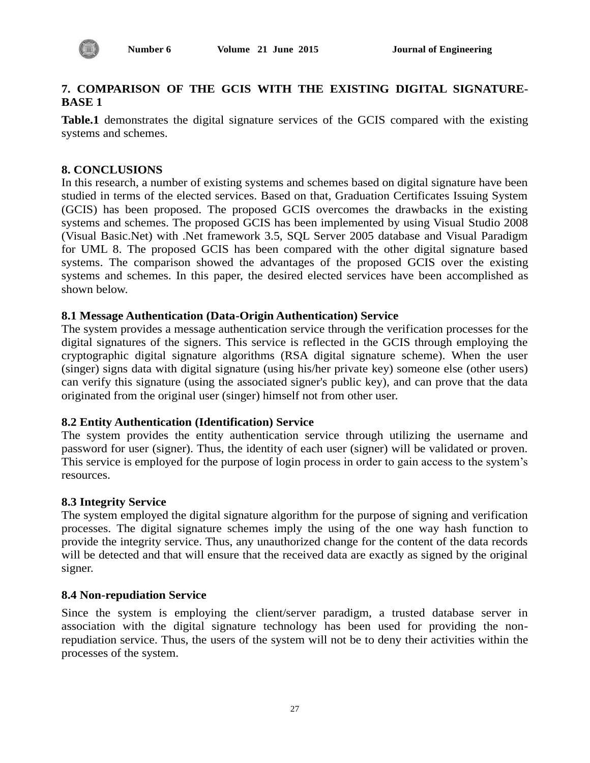

# **7. COMPARISON OF THE GCIS WITH THE EXISTING DIGITAL SIGNATURE-BASE 1**

**Table.1** demonstrates the digital signature services of the GCIS compared with the existing systems and schemes.

# **8. CONCLUSIONS**

In this research, a number of existing systems and schemes based on digital signature have been studied in terms of the elected services. Based on that, Graduation Certificates Issuing System (GCIS) has been proposed. The proposed GCIS overcomes the drawbacks in the existing systems and schemes. The proposed GCIS has been implemented by using Visual Studio 2008 (Visual Basic.Net) with .Net framework 3.5, SQL Server 2005 database and Visual Paradigm for UML 8. The proposed GCIS has been compared with the other digital signature based systems. The comparison showed the advantages of the proposed GCIS over the existing systems and schemes. In this paper, the desired elected services have been accomplished as shown below.

# **8.1 Message Authentication (Data-Origin Authentication) Service**

The system provides a message authentication service through the verification processes for the digital signatures of the signers. This service is reflected in the GCIS through employing the cryptographic digital signature algorithms (RSA digital signature scheme). When the user (singer) signs data with digital signature (using his/her private key) someone else (other users) can verify this signature (using the associated signer's public key), and can prove that the data originated from the original user (singer) himself not from other user.

# **8.2 Entity Authentication (Identification) Service**

The system provides the entity authentication service through utilizing the username and password for user (signer). Thus, the identity of each user (signer) will be validated or proven. This service is employed for the purpose of login process in order to gain access to the system's resources.

#### **8.3 Integrity Service**

The system employed the digital signature algorithm for the purpose of signing and verification processes. The digital signature schemes imply the using of the one way hash function to provide the integrity service. Thus, any unauthorized change for the content of the data records will be detected and that will ensure that the received data are exactly as signed by the original signer.

#### **8.4 Non-repudiation Service**

Since the system is employing the client/server paradigm, a trusted database server in association with the digital signature technology has been used for providing the nonrepudiation service. Thus, the users of the system will not be to deny their activities within the processes of the system.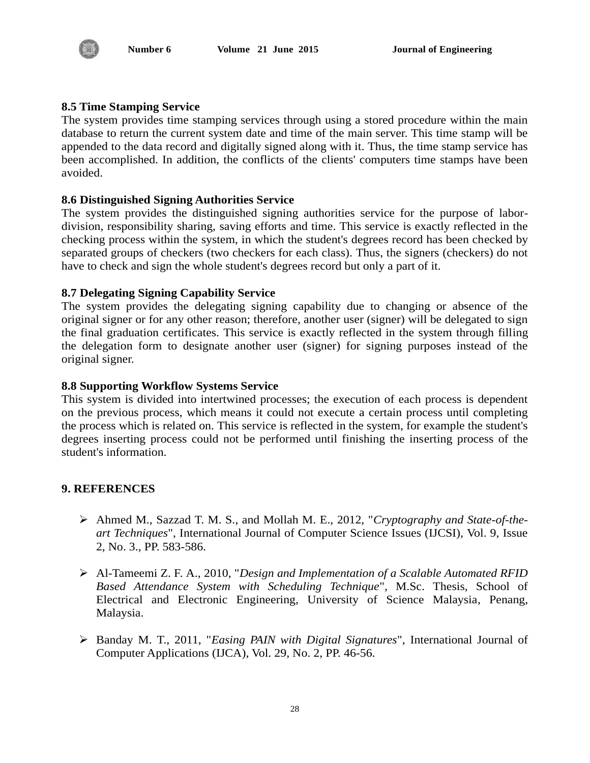

# **8.5 Time Stamping Service**

The system provides time stamping services through using a stored procedure within the main database to return the current system date and time of the main server. This time stamp will be appended to the data record and digitally signed along with it. Thus, the time stamp service has been accomplished. In addition, the conflicts of the clients' computers time stamps have been avoided.

# **8.6 Distinguished Signing Authorities Service**

The system provides the distinguished signing authorities service for the purpose of labordivision, responsibility sharing, saving efforts and time. This service is exactly reflected in the checking process within the system, in which the student's degrees record has been checked by separated groups of checkers (two checkers for each class). Thus, the signers (checkers) do not have to check and sign the whole student's degrees record but only a part of it.

# **8.7 Delegating Signing Capability Service**

The system provides the delegating signing capability due to changing or absence of the original signer or for any other reason; therefore, another user (signer) will be delegated to sign the final graduation certificates. This service is exactly reflected in the system through filling the delegation form to designate another user (signer) for signing purposes instead of the original signer.

# **8.8 Supporting Workflow Systems Service**

This system is divided into intertwined processes; the execution of each process is dependent on the previous process, which means it could not execute a certain process until completing the process which is related on. This service is reflected in the system, for example the student's degrees inserting process could not be performed until finishing the inserting process of the student's information.

# **9. REFERENCES**

- Ahmed M., Sazzad T. M. S., and Mollah M. E., 2012, "*Cryptography and State-of-theart Techniques*", International Journal of Computer Science Issues (IJCSI), Vol. 9, Issue 2, No. 3., PP. 583-586.
- Al-Tameemi Z. F. A., 2010, "*Design and Implementation of a Scalable Automated RFID Based Attendance System with Scheduling Technique*", M.Sc. Thesis, School of Electrical and Electronic Engineering, University of Science Malaysia, Penang, Malaysia.
- Banday M. T., 2011, "*Easing PAIN with Digital Signatures*", International Journal of Computer Applications (IJCA), Vol. 29, No. 2, PP. 46-56.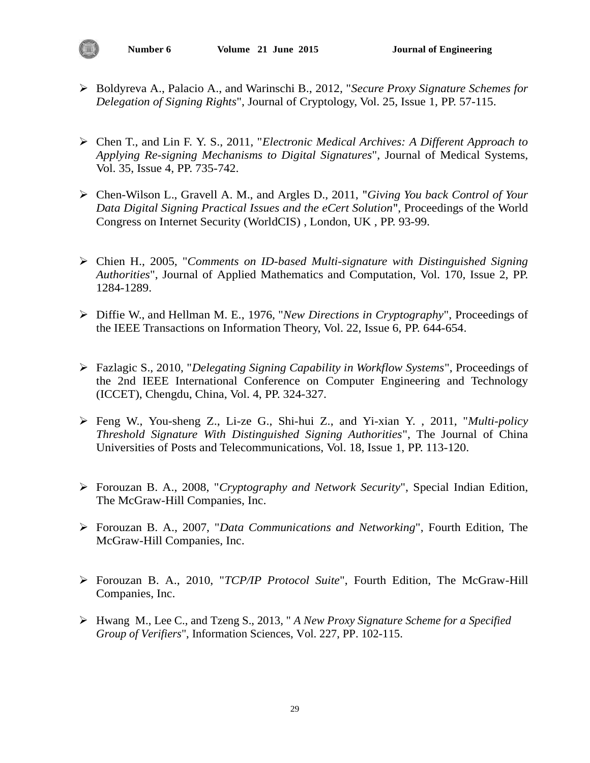- Boldyreva A., Palacio A., and Warinschi B., 2012, "*Secure Proxy Signature Schemes for Delegation of Signing Rights*", Journal of Cryptology, Vol. 25, Issue 1, PP. 57-115.
- Chen T., and Lin F. Y. S., 2011, "*Electronic Medical Archives: A Different Approach to Applying Re-signing Mechanisms to Digital Signatures*", Journal of Medical Systems, Vol. 35, Issue 4, PP. 735-742.
- Chen-Wilson L., Gravell A. M., and Argles D., 2011, "*Giving You back Control of Your Data Digital Signing Practical Issues and the eCert Solution*", Proceedings of the World Congress on [Internet Security \(WorldCIS\)](http://ieeexplore.ieee.org/xpl/mostRecentIssue.jsp?punumber=5743110) , London, UK , PP. 93-99.
- Chien H., 2005, "*Comments on ID-based Multi-signature with Distinguished Signing Authorities*", Journal of [Applied Mathematics and Computation,](http://www.sciencedirect.com/science/journal/00963003) Vol. 170, Issue 2, PP. 1284-1289.
- [Diffie W.,](http://ieeexplore.ieee.org/search/searchresult.jsp?searchWithin=p_Authors:.QT.Diffie,%20W..QT.&searchWithin=p_Author_Ids:37327960200&newsearch=true) and [Hellman M. E.,](http://ieeexplore.ieee.org/search/searchresult.jsp?searchWithin=p_Authors:.QT.Hellman,%20M.E..QT.&searchWithin=p_Author_Ids:37339721600&newsearch=true) 1976, "*New Directions in Cryptography*", Proceedings of the IEEE Transactions on Information Theory, Vol. 22, Issue 6, PP. 644-654.
- Fazlagic S., 2010, "*Delegating Signing Capability in Workflow Systems*", Proceedings of the 2nd IEEE International Conference on [Computer Engineering and Technology](http://ieeexplore.ieee.org/xpl/mostRecentIssue.jsp?punumber=5473895)  [\(ICCET\), Chengdu, China,](http://ieeexplore.ieee.org/xpl/mostRecentIssue.jsp?punumber=5473895) Vol. 4, PP. 324-327.
- Feng W., You-sheng Z., Li-ze G., Shi-hui Z., and Yi-xian Y. , 2011, "*Multi-policy Threshold Signature With Distinguished Signing Authorities*", The Journal of China Universities of Posts and Telecommunications, Vol. 18, Issue 1, PP. 113-120.
- Forouzan B. A., 2008, "*Cryptography and Network Security*", Special Indian Edition, The McGraw-Hill Companies, Inc.
- Forouzan B. A., 2007, "*Data Communications and Networking*", Fourth Edition, The McGraw-Hill Companies, Inc.
- Forouzan B. A., 2010, "*TCP/IP Protocol Suite*", Fourth Edition, The McGraw-Hill Companies, Inc.
- Hwang M., Lee C., and Tzeng S., 2013, " *A New Proxy Signature Scheme for a Specified Group of Verifiers*", Information Sciences, Vol. 227, PP. 102-115.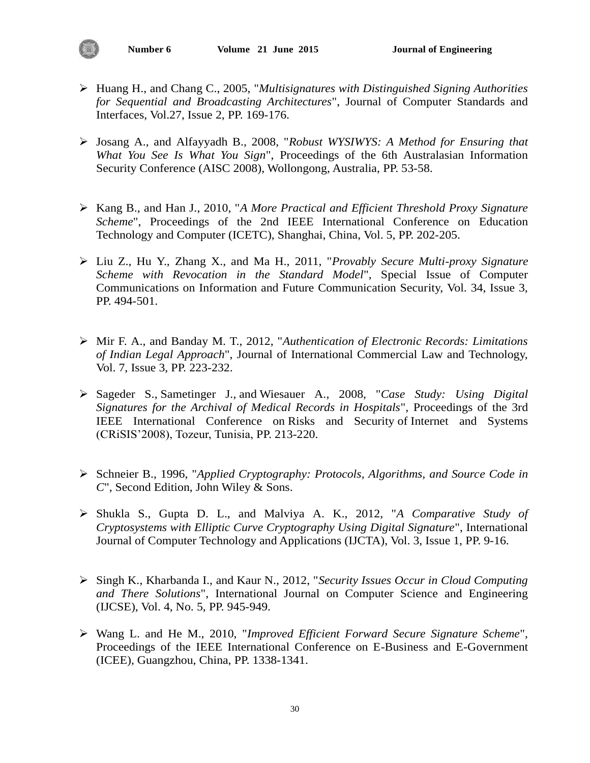- Huang H., and Chang C., 2005, "*Multisignatures with Distinguished Signing Authorities for Sequential and Broadcasting Architectures*", Journal of Computer Standards and Interfaces, Vol.27, Issue 2, PP. 169-176.
- Josang A., and Alfayyadh B., 2008, "*Robust WYSIWYS: A Method for Ensuring that What You See Is What You Sign*", Proceedings of the 6th Australasian Information Security Conference (AISC 2008), Wollongong, Australia, PP. 53-58.
- Kang B., and Han J., 2010, "*A More Practical and Efficient Threshold Proxy Signature Scheme*", Proceedings of the 2nd IEEE International Conference on [Education](http://ieeexplore.ieee.org/xpl/mostRecentIssue.jsp?punumber=5508190)  [Technology and Computer \(ICETC\),](http://ieeexplore.ieee.org/xpl/mostRecentIssue.jsp?punumber=5508190) Shanghai, China, Vol. 5, PP. 202-205.
- Liu Z., Hu Y., Zhang X., and Ma H., 2011, "*Provably Secure Multi-proxy Signature Scheme with Revocation in the Standard Model*", Special Issue of Computer Communications on Information and Future Communication Security, Vol. 34, Issue 3, PP. 494-501.
- Mir F. A., and Banday M. T., 2012, "*Authentication of Electronic Records: Limitations of Indian Legal Approach*", Journal of International Commercial Law and Technology, Vol. 7, Issue 3, PP. 223-232.
- [Sageder S.,](http://ieeexplore.ieee.org/search/searchresult.jsp?searchWithin=p_Authors:.QT.Sageder,%20S..QT.&searchWithin=p_Author_Ids:37662512500&newsearch=true) [Sametinger J.,](http://ieeexplore.ieee.org/search/searchresult.jsp?searchWithin=p_Authors:.QT.Sametinger,%20J..QT.&searchWithin=p_Author_Ids:37662514800&newsearch=true) and [Wiesauer A.,](http://ieeexplore.ieee.org/search/searchresult.jsp?searchWithin=p_Authors:.QT.Wiesauer,%20A..QT.&searchWithin=p_Author_Ids:37662514200&newsearch=true) 2008, "*Case Study: Using Digital Signatures for the Archival of Medical Records in Hospitals*", Proceedings of the 3rd IEEE [International Conference on](http://ieeexplore.ieee.org/xpl/mostRecentIssue.jsp?punumber=4733895) Risks and Security of [Internet and Systems](http://ieeexplore.ieee.org/xpl/mostRecentIssue.jsp?punumber=4733895) (CRiSIS'2008), Tozeur, Tunisia, PP. 213-220.
- Schneier B., 1996, "*Applied Cryptography: Protocols, Algorithms, and Source Code in C*", Second Edition, John Wiley & Sons.
- Shukla S., Gupta D. L., and Malviya A. K., 2012, "*A Comparative Study of Cryptosystems with Elliptic Curve Cryptography Using Digital Signature*", International Journal of Computer Technology and Applications (IJCTA), Vol. 3, Issue 1, PP. 9-16.
- Singh K., Kharbanda I., and Kaur N., 2012, "*Security Issues Occur in Cloud Computing and There Solutions*", International Journal on Computer Science and Engineering (IJCSE), Vol. 4, No. 5, PP. 945-949.
- Wang L. and He M., 2010, "*Improved Efficient Forward Secure Signature Scheme*", Proceedings of the IEEE International Conference on E-Business and E-Government (ICEE), Guangzhou, China, PP. 1338-1341.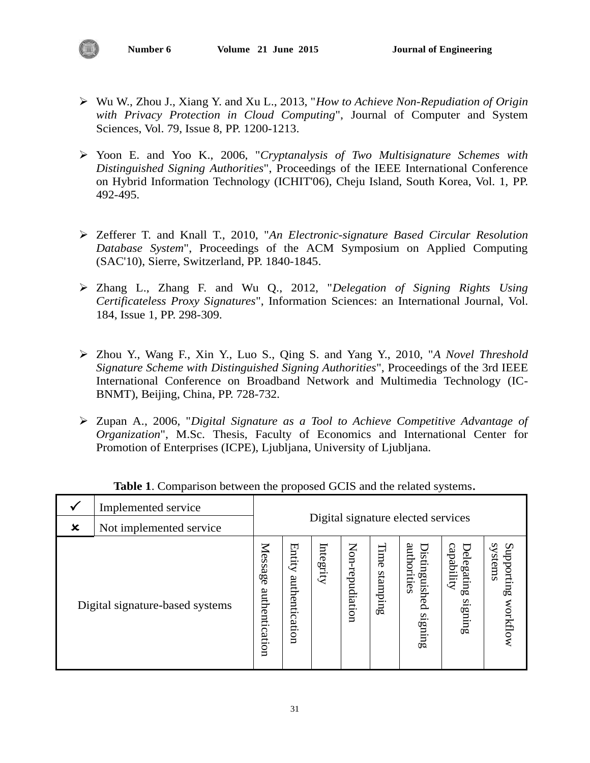- Wu W., Zhou J., Xiang Y. and Xu L., 2013, "*How to Achieve Non-Repudiation of Origin with Privacy Protection in Cloud Computing*", Journal of Computer and System Sciences, Vol. 79, Issue 8, PP. 1200-1213.
- Yoon E. and Yoo K., 2006, "*Cryptanalysis of Two Multisignature Schemes with Distinguished Signing Authorities*", Proceedings of the IEEE International Conference on Hybrid Information Technology (ICHIT'06), Cheju Island, South Korea, Vol. 1, PP. 492-495.
- Zefferer T. and Knall T., 2010, "*An Electronic-signature Based Circular Resolution Database System*", Proceedings of the ACM Symposium on Applied Computing (SAC'10), Sierre, Switzerland, PP. 1840-1845.
- Zhang L., Zhang F. and Wu Q., 2012, "*Delegation of Signing Rights Using Certificateless Proxy Signatures*", Information Sciences: an International Journal, Vol. 184, Issue 1, PP. 298-309.
- Zhou Y., Wang F., Xin Y., Luo S., Qing S. and Yang Y., 2010, "*A Novel Threshold Signature Scheme with Distinguished Signing Authorities*", Proceedings of the 3rd IEEE International Conference on [Broadband Network and Multimedia Technology \(IC-](http://ieeexplore.ieee.org/xpl/mostRecentIssue.jsp?punumber=5640191)[BNMT\), Beijing, China, PP.](http://ieeexplore.ieee.org/xpl/mostRecentIssue.jsp?punumber=5640191) 728-732.
- Zupan A., 2006, "*Digital Signature as a Tool to Achieve Competitive Advantage of Organization*", M.Sc. Thesis, Faculty of Economics and International Center for Promotion of Enterprises (ICPE), Ljubljana, University of Ljubljana.

|                           | Implemented service             |                                    |                          |           |                 |                  |                                         |                                     |                                   |
|---------------------------|---------------------------------|------------------------------------|--------------------------|-----------|-----------------|------------------|-----------------------------------------|-------------------------------------|-----------------------------------|
| $\boldsymbol{\mathsf{x}}$ | Not implemented service         | Digital signature elected services |                          |           |                 |                  |                                         |                                     |                                   |
|                           | Digital signature-based systems | Message<br>authentication          | Entity<br>authentication | Integrity | Non-repudiation | Time<br>stamping | authorities<br>Distinguished<br>signing | capability<br>Delegating<br>signing | systems<br>Supporting<br>workflow |

# **Table 1**. Comparison between the proposed GCIS and the related systems.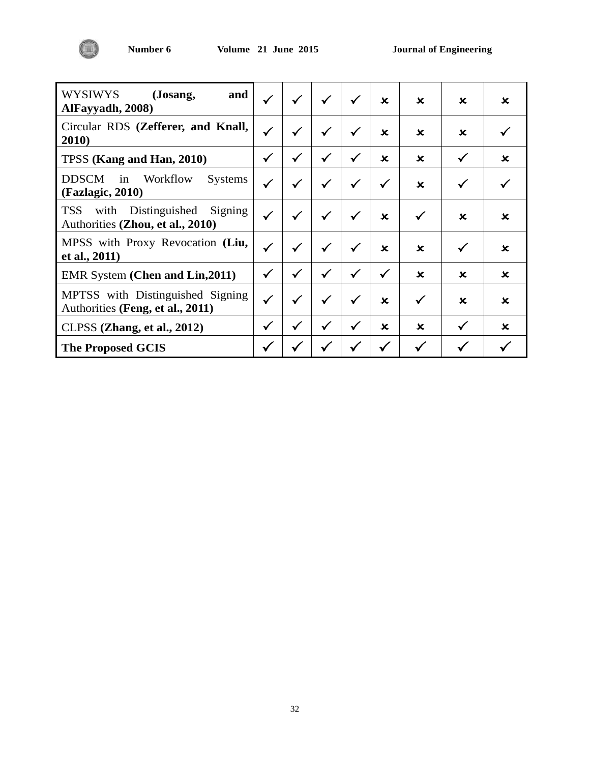

| WYSIWYS<br>(Josang,<br>and<br>AlFayyadh, 2008)                               | $\checkmark$ | $\checkmark$ | $\checkmark$ | $\checkmark$ | $\mathbf x$  | $\mathbf x$  | $\mathbf x$  | $\mathbf x$ |
|------------------------------------------------------------------------------|--------------|--------------|--------------|--------------|--------------|--------------|--------------|-------------|
| Circular RDS (Zefferer, and Knall,<br>2010)                                  | $\checkmark$ | $\checkmark$ | $\checkmark$ | $\checkmark$ | $\mathbf x$  | $\mathbf x$  | $\mathbf x$  |             |
| TPSS (Kang and Han, 2010)                                                    | $\checkmark$ | $\checkmark$ | $\checkmark$ | $\checkmark$ | $\mathbf x$  | $\mathbf x$  | $\checkmark$ | $\mathbf x$ |
| Workflow<br><b>DDSCM</b><br>in<br><b>Systems</b><br>(Fazlagic, 2010)         | $\checkmark$ | $\checkmark$ | $\checkmark$ | $\checkmark$ | $\checkmark$ | $\mathbf x$  | $\checkmark$ |             |
| <b>TSS</b><br>with Distinguished Signing<br>Authorities (Zhou, et al., 2010) |              | $\checkmark$ | $\checkmark$ | $\checkmark$ | $\mathbf x$  | √            | $\mathbf x$  | $\mathbf x$ |
| MPSS with Proxy Revocation (Liu,<br>et al., 2011)                            | $\checkmark$ | $\checkmark$ | $\checkmark$ | $\checkmark$ | $\mathbf x$  | $\mathbf x$  | $\checkmark$ | $\mathbf x$ |
| <b>EMR System (Chen and Lin, 2011)</b>                                       | $\checkmark$ | $\checkmark$ | $\checkmark$ | $\checkmark$ | $\checkmark$ | $\mathbf x$  | $\mathbf x$  | $\mathbf x$ |
| MPTSS with Distinguished Signing<br>Authorities (Feng, et al., 2011)         | $\checkmark$ | $\checkmark$ | $\checkmark$ | $\checkmark$ | $\mathbf x$  | $\checkmark$ | $\mathbf x$  | $\mathbf x$ |
| CLPSS (Zhang, et al., 2012)                                                  | $\checkmark$ | $\checkmark$ | $\checkmark$ | $\checkmark$ | $\mathbf x$  | $\mathbf x$  | $\checkmark$ | $\mathbf x$ |
| <b>The Proposed GCIS</b>                                                     |              |              |              |              |              |              |              |             |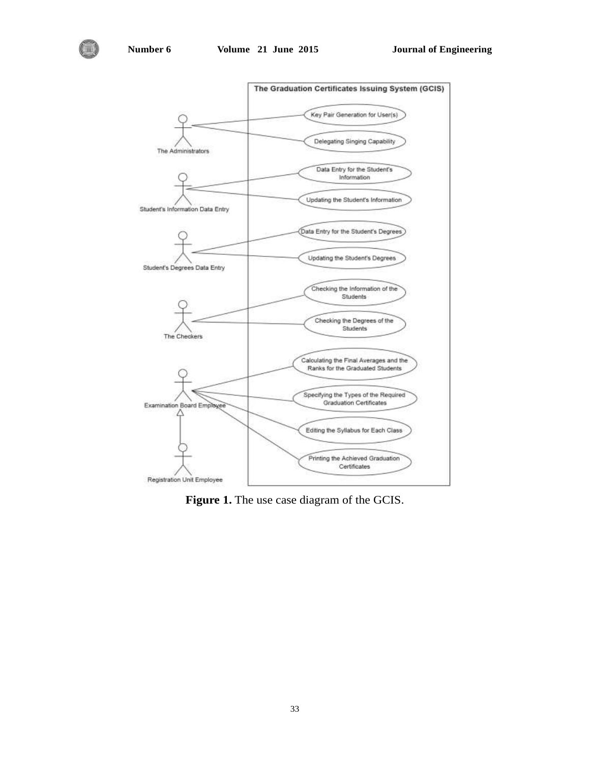

**Figure 1.** The use case diagram of the GCIS.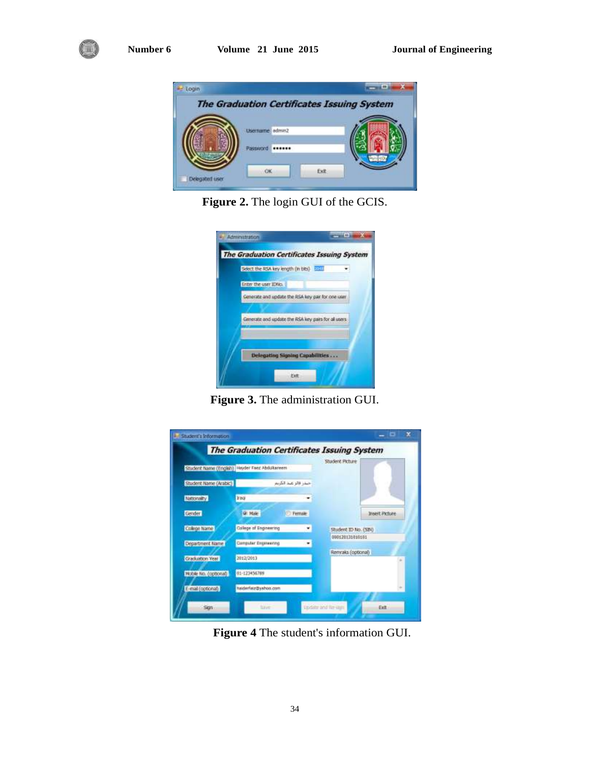



**Figure 2.** The login GUI of the GCIS.

| Generate and update the RSA key pair for one user    |
|------------------------------------------------------|
|                                                      |
| Generate and update the RSA key pairs for all users. |
|                                                      |
|                                                      |
| Delegating Signing Capabilities                      |

**Figure 3.** The administration GUI.

|                       | Student Name (English) Heyder Feer Abdulteneers |        | Student Picture      |                |
|-----------------------|-------------------------------------------------|--------|----------------------|----------------|
| Student Name (Arabic) | حبذر قالز عند الكربع                            |        |                      |                |
| Nationality           | <b>Iraq</b>                                     |        |                      |                |
| Gender                | <b>Q</b> Hale                                   | Female |                      | Insert Picture |
| College Name          | Callege of Engineering                          |        | Student ID No. (SIN) |                |
| Department Name       | Computer Engineering                            |        | 060120131010101      |                |
| Graduation Year       | 2012/2013                                       |        | Remraks (optional)   |                |
| Hoble No. (opbonal)   | 01-123456789                                    |        |                      |                |
| E-mail (optional)     | halderfoly@swhoo.com                            |        |                      |                |

**Figure 4** The student's information GUI.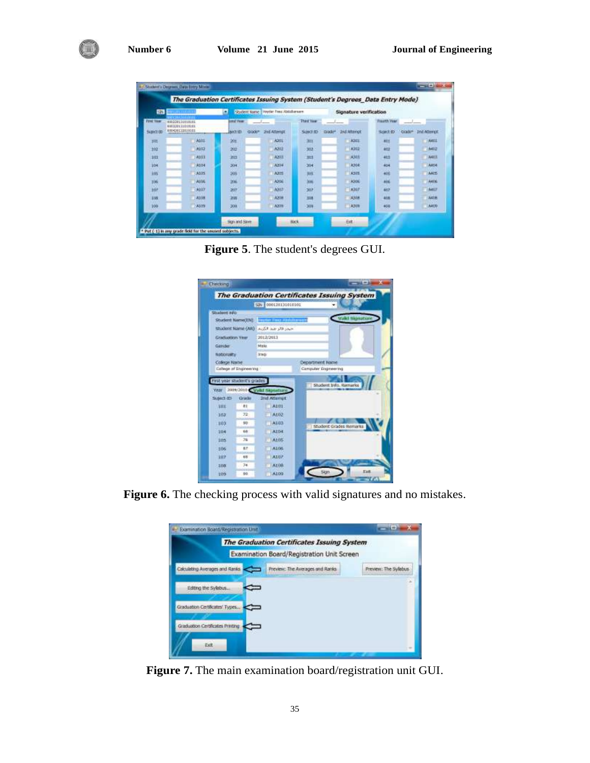

**Figure 5**. The student's degrees GUI.

|                                        |                             | SEN 000120131010101        |                                         |                        |      |
|----------------------------------------|-----------------------------|----------------------------|-----------------------------------------|------------------------|------|
| Student avo                            |                             |                            |                                         |                        |      |
|                                        | Student Name(IN)            | Heater Times Abshalterants |                                         | Valid signature        |      |
|                                        | Shadent Name (AR)           | حيدر فالرحيد الكبيد        |                                         |                        |      |
| <b>Graduation Year</b>                 |                             | 2012/2013                  |                                         |                        |      |
| Gerider:                               |                             | Mekin                      |                                         |                        |      |
| Nationality.                           |                             | <b>Strage</b>              |                                         |                        |      |
| College Nathe                          | Callege at Engineering      |                            | Department Name<br>Campular Engineering |                        |      |
|                                        | First year student's grades | 2009/2010 Valid Skinsture  |                                         | Shadern Info. Remarks  |      |
|                                        | caudio                      | 2nd Attempt                |                                         |                        |      |
| SOL                                    | 81                          | <b>A101</b>                |                                         |                        |      |
|                                        | 72                          | AL02-                      |                                         |                        |      |
| 103                                    | 50                          | A103                       |                                         | Student Grades Remarks |      |
| 304                                    | 66                          | Alb4:                      |                                         |                        |      |
| 205                                    | 76                          | A105                       |                                         |                        |      |
| 106                                    | 6T.                         | ALOS.                      |                                         |                        |      |
| 107                                    | 6.81                        | <b>Atur</b>                |                                         |                        |      |
| <b>YAN</b><br>Suite 1.13<br>102<br>308 | 74                          | A108.                      | Sign                                    |                        | Exit |

**Figure 6.** The checking process with valid signatures and no mistakes.

| Examination Boatd/Registration Unit                                                              |                                                                                          |                       |
|--------------------------------------------------------------------------------------------------|------------------------------------------------------------------------------------------|-----------------------|
|                                                                                                  | The Graduation Certificates Issuing System<br>Examination Board/Registration Unit Screen |                       |
| Calculating Averages and Ranks                                                                   | Freview: The Averages and Ranks                                                          | Preview: The Sylabus. |
| Editing the Sylabus<br>Graduation Certificates' Types<br>Graduation Certificates Printing<br>Ext |                                                                                          |                       |

**Figure 7.** The main examination board/registration unit GUI.